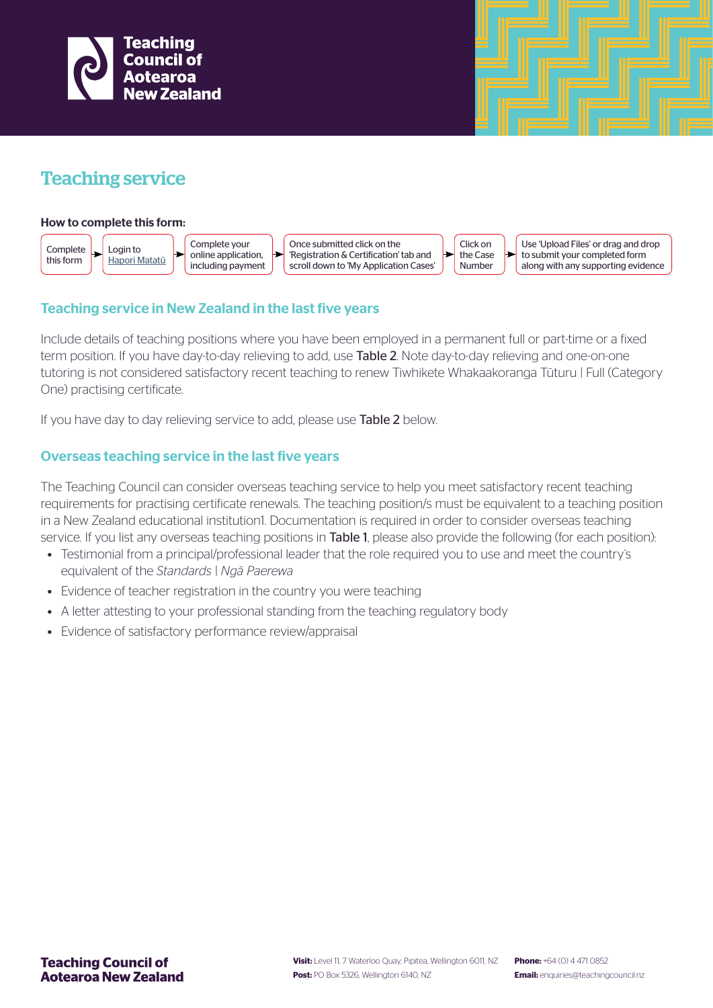

# Teaching service

#### How to complete this form:



# Teaching service in New Zealand in the last five years

Include details of teaching positions where you have been employed in a permanent full or part-time or a fixed term position. If you have day-to-day relieving to add, use **Table 2**. Note day-to-day relieving and one-on-one tutoring is not considered satisfactory recent teaching to renew Tiwhikete Whakaakoranga Tūturu | Full (Category One) practising certificate.

If you have day to day relieving service to add, please use Table 2 below.

# Overseas teaching service in the last five years

The Teaching Council can consider overseas teaching service to help you meet satisfactory recent teaching requirements for practising certificate renewals. The teaching position/s must be equivalent to a teaching position in a New Zealand educational institution1. Documentation is required in order to consider overseas teaching service. If you list any overseas teaching positions in Table 1, please also provide the following (for each position):

- Testimonial from a principal/professional leader that the role required you to use and meet the country's equivalent of the *Standards | Ngā Paerewa*
- Evidence of teacher registration in the country you were teaching
- A letter attesting to your professional standing from the teaching regulatory body
- Evidence of satisfactory performance review/appraisal